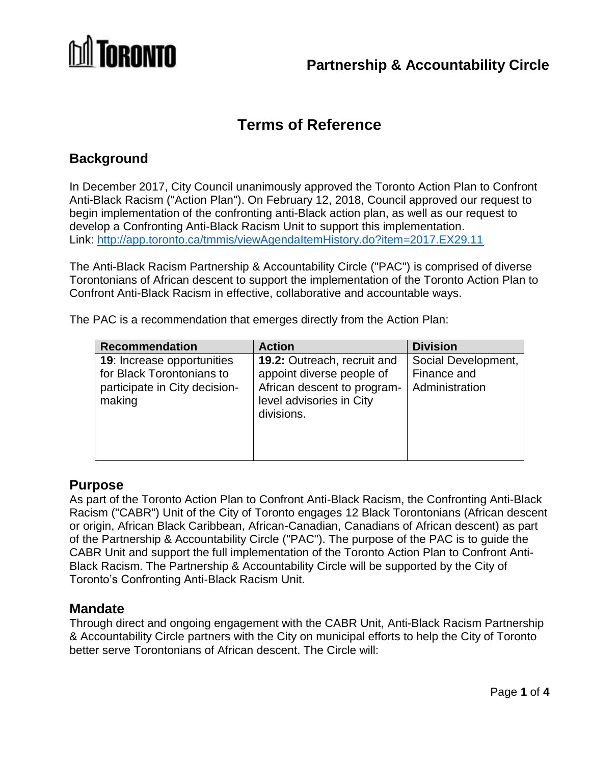

# **Terms of Reference**

## **Background**

In December 2017, City Council unanimously approved the Toronto Action Plan to Confront Anti-Black Racism ("Action Plan"). On February 12, 2018, Council approved our request to begin implementation of the confronting anti-Black action plan, as well as our request to develop a Confronting Anti-Black Racism Unit to support this implementation. Link:<http://app.toronto.ca/tmmis/viewAgendaItemHistory.do?item=2017.EX29.11>

The Anti-Black Racism Partnership & Accountability Circle ("PAC") is comprised of diverse Torontonians of African descent to support the implementation of the Toronto Action Plan to Confront Anti-Black Racism in effective, collaborative and accountable ways.

The PAC is a recommendation that emerges directly from the Action Plan:

| <b>Recommendation</b>                                                                                     | <b>Action</b>                                                                                                                            | <b>Division</b>                                      |
|-----------------------------------------------------------------------------------------------------------|------------------------------------------------------------------------------------------------------------------------------------------|------------------------------------------------------|
| <b>19:</b> Increase opportunities<br>for Black Torontonians to<br>participate in City decision-<br>making | <b>19.2: Outreach, recruit and</b><br>appoint diverse people of<br>African descent to program-<br>level advisories in City<br>divisions. | Social Development,<br>Finance and<br>Administration |

#### **Purpose**

As part of the Toronto Action Plan to Confront Anti-Black Racism, the Confronting Anti-Black Racism ("CABR") Unit of the City of Toronto engages 12 Black Torontonians (African descent or origin, African Black Caribbean, African-Canadian, Canadians of African descent) as part of the Partnership & Accountability Circle ("PAC"). The purpose of the PAC is to guide the CABR Unit and support the full implementation of the Toronto Action Plan to Confront Anti-Black Racism. The Partnership & Accountability Circle will be supported by the City of Toronto's Confronting Anti-Black Racism Unit.

#### **Mandate**

Through direct and ongoing engagement with the CABR Unit, Anti-Black Racism Partnership & Accountability Circle partners with the City on municipal efforts to help the City of Toronto better serve Torontonians of African descent. The Circle will: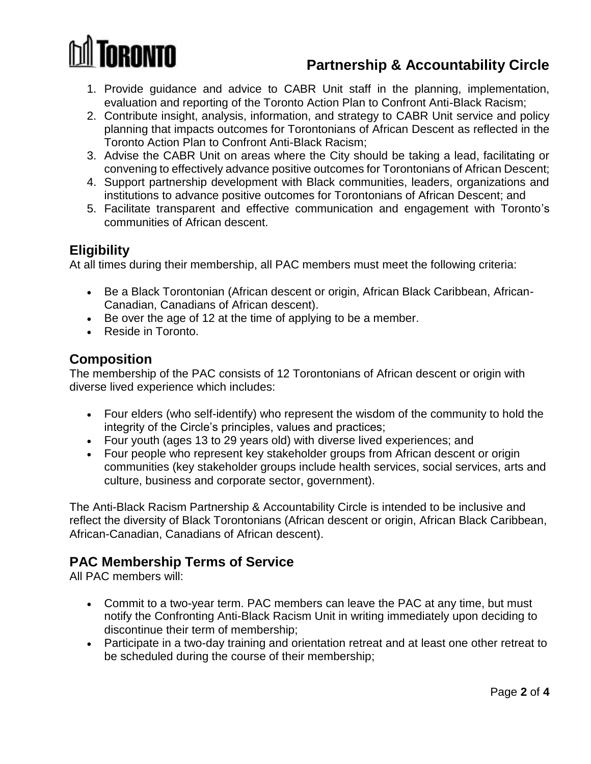

## **Partnership & Accountability Circle**

- 1. Provide guidance and advice to CABR Unit staff in the planning, implementation, evaluation and reporting of the Toronto Action Plan to Confront Anti-Black Racism;
- 2. Contribute insight, analysis, information, and strategy to CABR Unit service and policy planning that impacts outcomes for Torontonians of African Descent as reflected in the Toronto Action Plan to Confront Anti-Black Racism;
- 3. Advise the CABR Unit on areas where the City should be taking a lead, facilitating or convening to effectively advance positive outcomes for Torontonians of African Descent;
- 4. Support partnership development with Black communities, leaders, organizations and institutions to advance positive outcomes for Torontonians of African Descent; and
- 5. Facilitate transparent and effective communication and engagement with Toronto's communities of African descent.

## **Eligibility**

At all times during their membership, all PAC members must meet the following criteria:

- Be a Black Torontonian (African descent or origin, African Black Caribbean, African-Canadian, Canadians of African descent).
- Be over the age of 12 at the time of applying to be a member.
- Reside in Toronto.

## **Composition**

The membership of the PAC consists of 12 Torontonians of African descent or origin with diverse lived experience which includes:

- Four elders (who self-identify) who represent the wisdom of the community to hold the integrity of the Circle's principles, values and practices;
- Four youth (ages 13 to 29 years old) with diverse lived experiences; and
- Four people who represent key stakeholder groups from African descent or origin communities (key stakeholder groups include health services, social services, arts and culture, business and corporate sector, government).

The Anti-Black Racism Partnership & Accountability Circle is intended to be inclusive and reflect the diversity of Black Torontonians (African descent or origin, African Black Caribbean, African-Canadian, Canadians of African descent).

## **PAC Membership Terms of Service**

All PAC members will:

- Commit to a two-year term. PAC members can leave the PAC at any time, but must notify the Confronting Anti-Black Racism Unit in writing immediately upon deciding to discontinue their term of membership;
- Participate in a two-day training and orientation retreat and at least one other retreat to be scheduled during the course of their membership;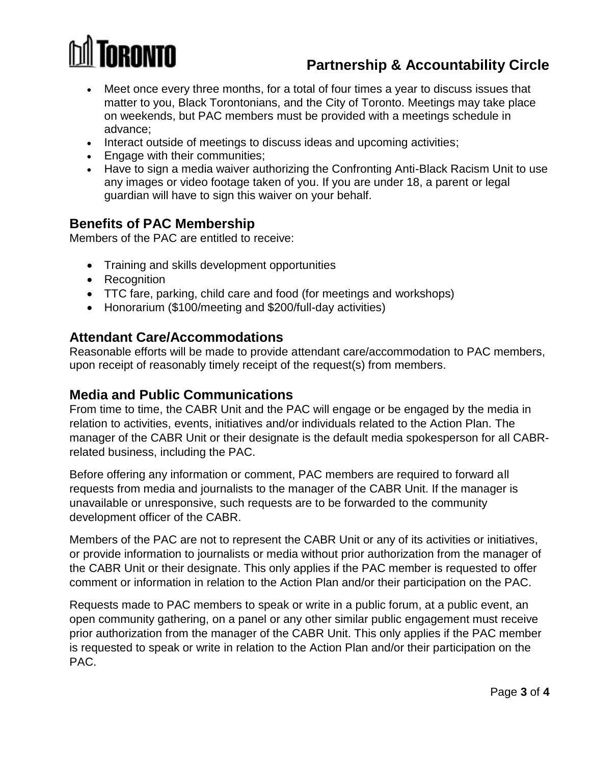

# **Partnership & Accountability Circle**

- Meet once every three months, for a total of four times a year to discuss issues that matter to you, Black Torontonians, and the City of Toronto. Meetings may take place on weekends, but PAC members must be provided with a meetings schedule in advance;
- Interact outside of meetings to discuss ideas and upcoming activities;
- Engage with their communities;
- Have to sign a media waiver authorizing the Confronting Anti-Black Racism Unit to use any images or video footage taken of you. If you are under 18, a parent or legal guardian will have to sign this waiver on your behalf.

### **Benefits of PAC Membership**

Members of the PAC are entitled to receive:

- Training and skills development opportunities
- Recognition
- TTC fare, parking, child care and food (for meetings and workshops)
- Honorarium (\$100/meeting and \$200/full-day activities)

#### **Attendant Care/Accommodations**

Reasonable efforts will be made to provide attendant care/accommodation to PAC members, upon receipt of reasonably timely receipt of the request(s) from members.

#### **Media and Public Communications**

From time to time, the CABR Unit and the PAC will engage or be engaged by the media in relation to activities, events, initiatives and/or individuals related to the Action Plan. The manager of the CABR Unit or their designate is the default media spokesperson for all CABRrelated business, including the PAC.

Before offering any information or comment, PAC members are required to forward all requests from media and journalists to the manager of the CABR Unit. If the manager is unavailable or unresponsive, such requests are to be forwarded to the community development officer of the CABR.

Members of the PAC are not to represent the CABR Unit or any of its activities or initiatives, or provide information to journalists or media without prior authorization from the manager of the CABR Unit or their designate. This only applies if the PAC member is requested to offer comment or information in relation to the Action Plan and/or their participation on the PAC.

Requests made to PAC members to speak or write in a public forum, at a public event, an open community gathering, on a panel or any other similar public engagement must receive prior authorization from the manager of the CABR Unit. This only applies if the PAC member is requested to speak or write in relation to the Action Plan and/or their participation on the PAC.